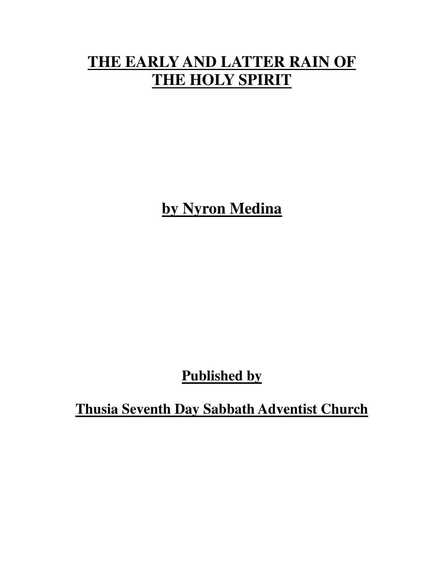## **THE EARLY AND LATTER RAIN OF THE HOLY SPIRIT**

**by Nyron Medina**

**Published by**

**Thusia Seventh Day Sabbath Adventist Church**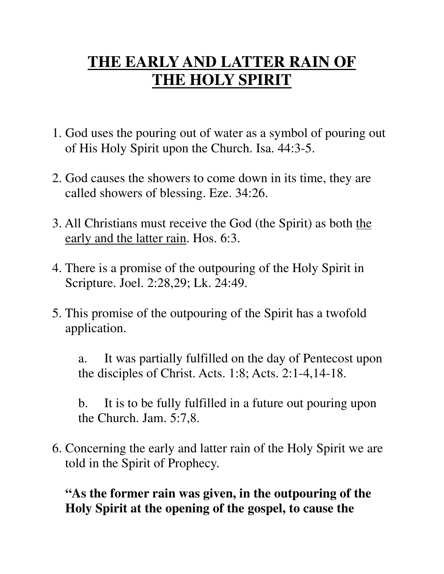# **THE EARLY AND LATTER RAIN OF THE HOLY SPIRIT**

- 1. God uses the pouring out of water as a symbol of pouring out of His Holy Spirit upon the Church. Isa. 44:3-5.
- 2. God causes the showers to come down in its time, they are called showers of blessing. Eze. 34:26.
- 3. All Christians must receive the God (the Spirit) as both the early and the latter rain. Hos. 6:3.
- 4. There is a promise of the outpouring of the Holy Spirit in Scripture. Joel. 2:28,29; Lk. 24:49.
- 5. This promise of the outpouring of the Spirit has a twofold application.

 a. It was partially fulfilled on the day of Pentecost upon the disciples of Christ. Acts. 1:8; Acts. 2:1-4,14-18.

 b. It is to be fully fulfilled in a future out pouring upon the Church. Jam. 5:7,8.

6. Concerning the early and latter rain of the Holy Spirit we are told in the Spirit of Prophecy.

#### **"As the former rain was given, in the outpouring of the Holy Spirit at the opening of the gospel, to cause the**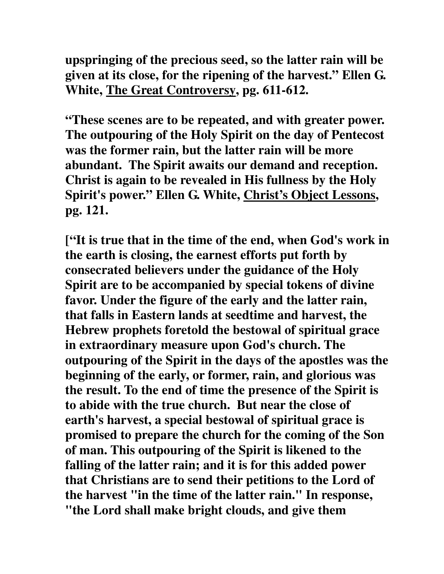**upspringing of the precious seed, so the latter rain will be given at its close, for the ripening of the harvest." Ellen G. White, The Great Controversy, pg. 611-612.**

 **"These scenes are to be repeated, and with greater power. The outpouring of the Holy Spirit on the day of Pentecost was the former rain, but the latter rain will be more abundant. The Spirit awaits our demand and reception. Christ is again to be revealed in His fullness by the Holy Spirit's power." Ellen G. White, Christ's Object Lessons, pg. 121.** 

**["It is true that in the time of the end, when God's work in the earth is closing, the earnest efforts put forth by consecrated believers under the guidance of the Holy Spirit are to be accompanied by special tokens of divine favor. Under the figure of the early and the latter rain, that falls in Eastern lands at seedtime and harvest, the Hebrew prophets foretold the bestowal of spiritual grace in extraordinary measure upon God's church. The outpouring of the Spirit in the days of the apostles was the beginning of the early, or former, rain, and glorious was the result. To the end of time the presence of the Spirit is to abide with the true church. But near the close of earth's harvest, a special bestowal of spiritual grace is promised to prepare the church for the coming of the Son of man. This outpouring of the Spirit is likened to the falling of the latter rain; and it is for this added power that Christians are to send their petitions to the Lord of the harvest "in the time of the latter rain." In response, "the Lord shall make bright clouds, and give them**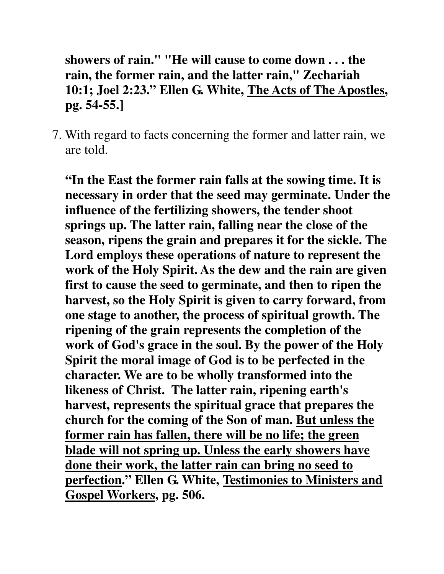**showers of rain." "He will cause to come down . . . the rain, the former rain, and the latter rain," Zechariah 10:1; Joel 2:23." Ellen G. White, The Acts of The Apostles, pg. 54-55.]**

7. With regard to facts concerning the former and latter rain, we are told.

**"In the East the former rain falls at the sowing time. It is necessary in order that the seed may germinate. Under the influence of the fertilizing showers, the tender shoot springs up. The latter rain, falling near the close of the season, ripens the grain and prepares it for the sickle. The Lord employs these operations of nature to represent the work of the Holy Spirit. As the dew and the rain are given first to cause the seed to germinate, and then to ripen the harvest, so the Holy Spirit is given to carry forward, from one stage to another, the process of spiritual growth. The ripening of the grain represents the completion of the work of God's grace in the soul. By the power of the Holy Spirit the moral image of God is to be perfected in the character. We are to be wholly transformed into the likeness of Christ. The latter rain, ripening earth's harvest, represents the spiritual grace that prepares the church for the coming of the Son of man. But unless the former rain has fallen, there will be no life; the green blade will not spring up. Unless the early showers have done their work, the latter rain can bring no seed to perfection." Ellen G. White, Testimonies to Ministers and Gospel Workers, pg. 506.**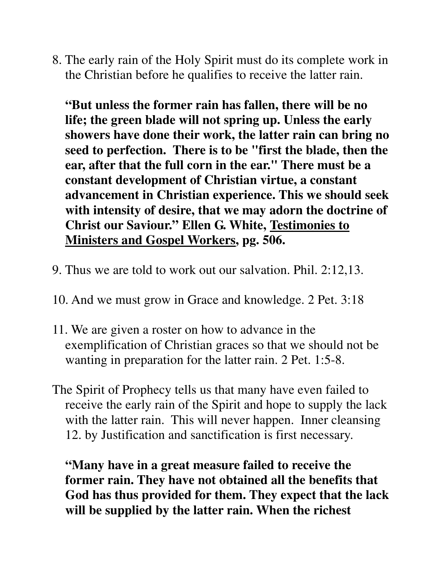8. The early rain of the Holy Spirit must do its complete work in the Christian before he qualifies to receive the latter rain.

**"But unless the former rain has fallen, there will be no life; the green blade will not spring up. Unless the early showers have done their work, the latter rain can bring no seed to perfection. There is to be "first the blade, then the ear, after that the full corn in the ear." There must be a constant development of Christian virtue, a constant advancement in Christian experience. This we should seek with intensity of desire, that we may adorn the doctrine of Christ our Saviour." Ellen G. White, Testimonies to Ministers and Gospel Workers, pg. 506.**

- 9. Thus we are told to work out our salvation. Phil. 2:12,13.
- 10. And we must grow in Grace and knowledge. 2 Pet. 3:18
- 11. We are given a roster on how to advance in the exemplification of Christian graces so that we should not be wanting in preparation for the latter rain. 2 Pet. 1:5-8.
- The Spirit of Prophecy tells us that many have even failed to receive the early rain of the Spirit and hope to supply the lack with the latter rain. This will never happen. Inner cleansing 12. by Justification and sanctification is first necessary.

**"Many have in a great measure failed to receive the former rain. They have not obtained all the benefits that God has thus provided for them. They expect that the lack will be supplied by the latter rain. When the richest**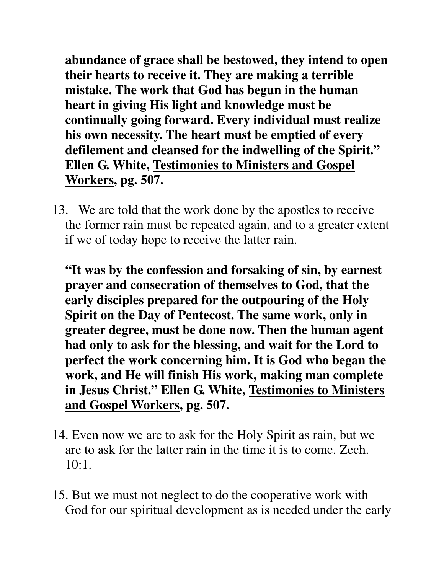**abundance of grace shall be bestowed, they intend to open their hearts to receive it. They are making a terrible mistake. The work that God has begun in the human heart in giving His light and knowledge must be continually going forward. Every individual must realize his own necessity. The heart must be emptied of every defilement and cleansed for the indwelling of the Spirit." Ellen G. White, Testimonies to Ministers and Gospel Workers, pg. 507.**

13. We are told that the work done by the apostles to receive the former rain must be repeated again, and to a greater extent if we of today hope to receive the latter rain.

 **"It was by the confession and forsaking of sin, by earnest prayer and consecration of themselves to God, that the early disciples prepared for the outpouring of the Holy Spirit on the Day of Pentecost. The same work, only in greater degree, must be done now. Then the human agent had only to ask for the blessing, and wait for the Lord to perfect the work concerning him. It is God who began the work, and He will finish His work, making man complete in Jesus Christ." Ellen G. White, Testimonies to Ministers and Gospel Workers, pg. 507.**

- 14. Even now we are to ask for the Holy Spirit as rain, but we are to ask for the latter rain in the time it is to come. Zech.  $10:1$ .
- 15. But we must not neglect to do the cooperative work with God for our spiritual development as is needed under the early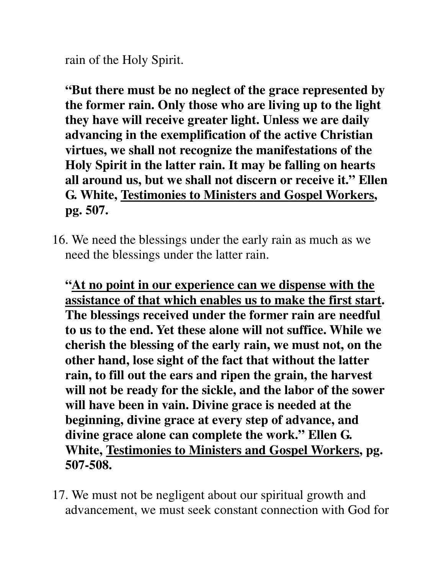rain of the Holy Spirit.

**"But there must be no neglect of the grace represented by the former rain. Only those who are living up to the light they have will receive greater light. Unless we are daily advancing in the exemplification of the active Christian virtues, we shall not recognize the manifestations of the Holy Spirit in the latter rain. It may be falling on hearts all around us, but we shall not discern or receive it." Ellen G. White, Testimonies to Ministers and Gospel Workers, pg. 507.**

16. We need the blessings under the early rain as much as we need the blessings under the latter rain.

**"At no point in our experience can we dispense with the assistance of that which enables us to make the first start. The blessings received under the former rain are needful to us to the end. Yet these alone will not suffice. While we cherish the blessing of the early rain, we must not, on the other hand, lose sight of the fact that without the latter rain, to fill out the ears and ripen the grain, the harvest will not be ready for the sickle, and the labor of the sower will have been in vain. Divine grace is needed at the beginning, divine grace at every step of advance, and divine grace alone can complete the work." Ellen G. White, Testimonies to Ministers and Gospel Workers, pg. 507-508.**

17. We must not be negligent about our spiritual growth and advancement, we must seek constant connection with God for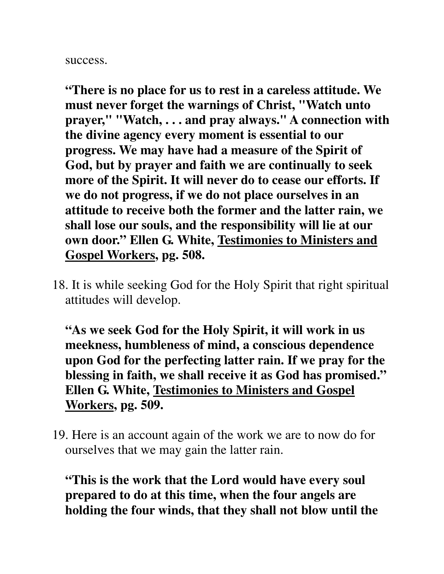success.

**"There is no place for us to rest in a careless attitude. We must never forget the warnings of Christ, "Watch unto prayer," "Watch, . . . and pray always." A connection with the divine agency every moment is essential to our progress. We may have had a measure of the Spirit of God, but by prayer and faith we are continually to seek more of the Spirit. It will never do to cease our efforts. If we do not progress, if we do not place ourselves in an attitude to receive both the former and the latter rain, we shall lose our souls, and the responsibility will lie at our own door." Ellen G. White, Testimonies to Ministers and Gospel Workers, pg. 508.**

18. It is while seeking God for the Holy Spirit that right spiritual attitudes will develop.

**"As we seek God for the Holy Spirit, it will work in us meekness, humbleness of mind, a conscious dependence upon God for the perfecting latter rain. If we pray for the blessing in faith, we shall receive it as God has promised." Ellen G. White, Testimonies to Ministers and Gospel Workers, pg. 509.**

19. Here is an account again of the work we are to now do for ourselves that we may gain the latter rain.

**"This is the work that the Lord would have every soul prepared to do at this time, when the four angels are holding the four winds, that they shall not blow until the**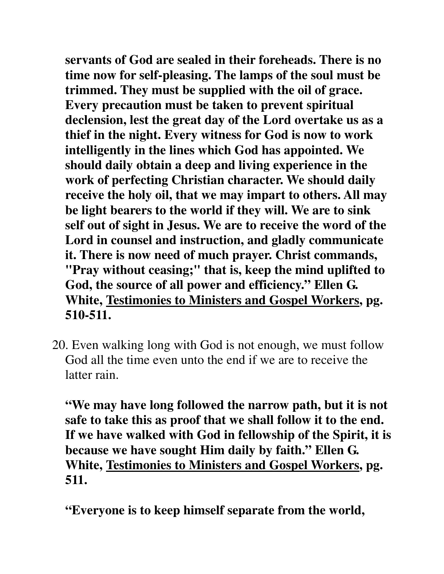**servants of God are sealed in their foreheads. There is no time now for self-pleasing. The lamps of the soul must be trimmed. They must be supplied with the oil of grace. Every precaution must be taken to prevent spiritual declension, lest the great day of the Lord overtake us as a thief in the night. Every witness for God is now to work intelligently in the lines which God has appointed. We should daily obtain a deep and living experience in the work of perfecting Christian character. We should daily receive the holy oil, that we may impart to others. All may be light bearers to the world if they will. We are to sink self out of sight in Jesus. We are to receive the word of the Lord in counsel and instruction, and gladly communicate it. There is now need of much prayer. Christ commands, "Pray without ceasing;" that is, keep the mind uplifted to God, the source of all power and efficiency." Ellen G. White, Testimonies to Ministers and Gospel Workers, pg. 510-511.** 

20. Even walking long with God is not enough, we must follow God all the time even unto the end if we are to receive the latter rain.

**"We may have long followed the narrow path, but it is not safe to take this as proof that we shall follow it to the end. If we have walked with God in fellowship of the Spirit, it is because we have sought Him daily by faith." Ellen G. White, Testimonies to Ministers and Gospel Workers, pg. 511.**

**"Everyone is to keep himself separate from the world,**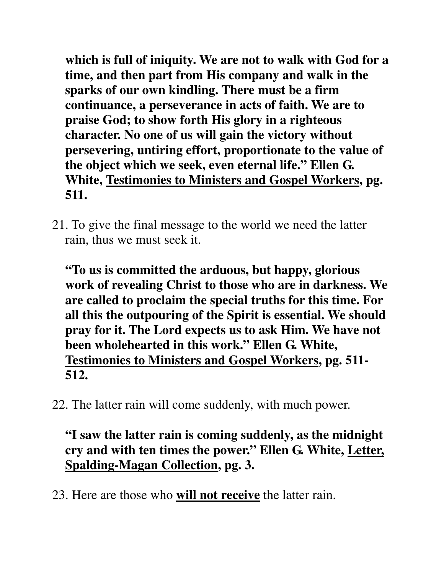**which is full of iniquity. We are not to walk with God for a time, and then part from His company and walk in the sparks of our own kindling. There must be a firm continuance, a perseverance in acts of faith. We are to praise God; to show forth His glory in a righteous character. No one of us will gain the victory without persevering, untiring effort, proportionate to the value of the object which we seek, even eternal life." Ellen G. White, Testimonies to Ministers and Gospel Workers, pg. 511.**

21. To give the final message to the world we need the latter rain, thus we must seek it.

**"To us is committed the arduous, but happy, glorious work of revealing Christ to those who are in darkness. We are called to proclaim the special truths for this time. For all this the outpouring of the Spirit is essential. We should pray for it. The Lord expects us to ask Him. We have not been wholehearted in this work." Ellen G. White, Testimonies to Ministers and Gospel Workers, pg. 511- 512.**

22. The latter rain will come suddenly, with much power.

### **"I saw the latter rain is coming suddenly, as the midnight cry and with ten times the power." Ellen G. White, Letter, Spalding-Magan Collection, pg. 3.**

23. Here are those who **will not receive** the latter rain.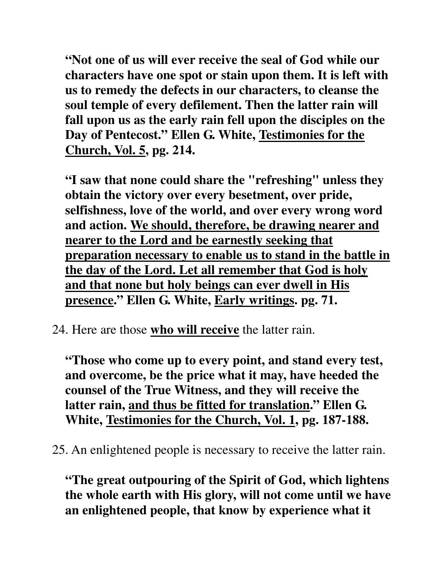**"Not one of us will ever receive the seal of God while our characters have one spot or stain upon them. It is left with us to remedy the defects in our characters, to cleanse the soul temple of every defilement. Then the latter rain will fall upon us as the early rain fell upon the disciples on the Day of Pentecost." Ellen G. White, Testimonies for the Church, Vol. 5, pg. 214.**

**"I saw that none could share the "refreshing" unless they obtain the victory over every besetment, over pride, selfishness, love of the world, and over every wrong word and action. We should, therefore, be drawing nearer and nearer to the Lord and be earnestly seeking that preparation necessary to enable us to stand in the battle in the day of the Lord. Let all remember that God is holy and that none but holy beings can ever dwell in His presence." Ellen G. White, Early writings. pg. 71.**

24. Here are those **who will receive** the latter rain.

**"Those who come up to every point, and stand every test, and overcome, be the price what it may, have heeded the counsel of the True Witness, and they will receive the latter rain, and thus be fitted for translation." Ellen G. White, Testimonies for the Church, Vol. 1, pg. 187-188.**

25. An enlightened people is necessary to receive the latter rain.

**"The great outpouring of the Spirit of God, which lightens the whole earth with His glory, will not come until we have an enlightened people, that know by experience what it**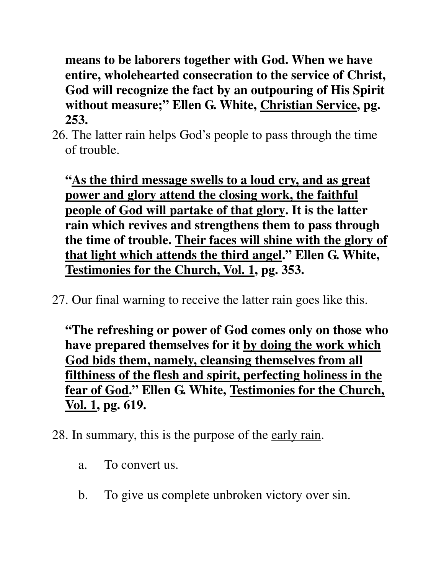**means to be laborers together with God. When we have entire, wholehearted consecration to the service of Christ, God will recognize the fact by an outpouring of His Spirit without measure;" Ellen G. White, Christian Service, pg. 253.**

26. The latter rain helps God's people to pass through the time of trouble.

**"As the third message swells to a loud cry, and as great power and glory attend the closing work, the faithful people of God will partake of that glory. It is the latter rain which revives and strengthens them to pass through the time of trouble. Their faces will shine with the glory of that light which attends the third angel." Ellen G. White, Testimonies for the Church, Vol. 1, pg. 353.**

27. Our final warning to receive the latter rain goes like this.

**"The refreshing or power of God comes only on those who have prepared themselves for it by doing the work which God bids them, namely, cleansing themselves from all filthiness of the flesh and spirit, perfecting holiness in the fear of God." Ellen G. White, Testimonies for the Church, Vol. 1, pg. 619.**

#### 28. In summary, this is the purpose of the early rain.

- a. To convert us.
- b. To give us complete unbroken victory over sin.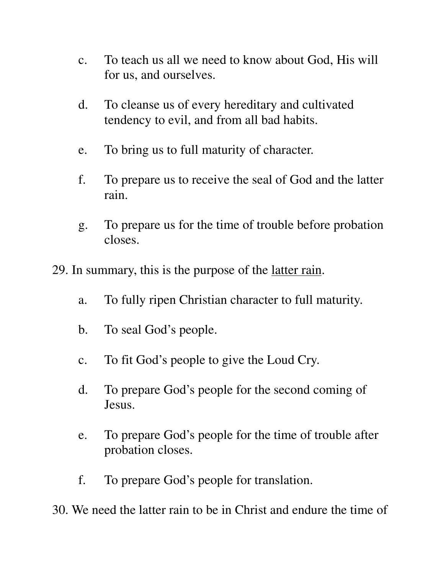- c. To teach us all we need to know about God, His will for us, and ourselves.
- d. To cleanse us of every hereditary and cultivated tendency to evil, and from all bad habits.
- e. To bring us to full maturity of character.
- f. To prepare us to receive the seal of God and the latter rain.
- g. To prepare us for the time of trouble before probation closes.
- 29. In summary, this is the purpose of the latter rain.
	- a. To fully ripen Christian character to full maturity.
	- b. To seal God's people.
	- c. To fit God's people to give the Loud Cry.
	- d. To prepare God's people for the second coming of Jesus.
	- e. To prepare God's people for the time of trouble after probation closes.
	- f. To prepare God's people for translation.

30. We need the latter rain to be in Christ and endure the time of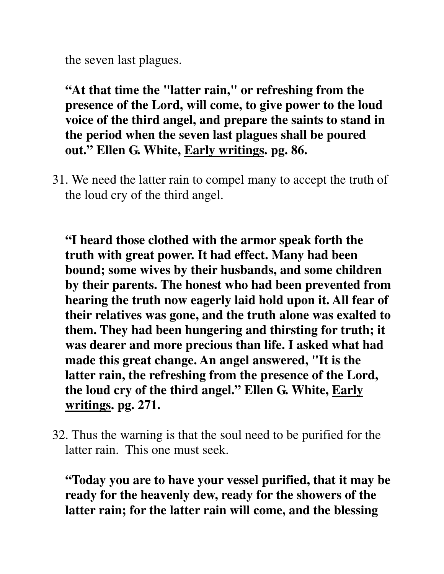the seven last plagues.

**"At that time the "latter rain," or refreshing from the presence of the Lord, will come, to give power to the loud voice of the third angel, and prepare the saints to stand in the period when the seven last plagues shall be poured out." Ellen G. White, Early writings. pg. 86.**

31. We need the latter rain to compel many to accept the truth of the loud cry of the third angel.

**"I heard those clothed with the armor speak forth the truth with great power. It had effect. Many had been bound; some wives by their husbands, and some children by their parents. The honest who had been prevented from hearing the truth now eagerly laid hold upon it. All fear of their relatives was gone, and the truth alone was exalted to them. They had been hungering and thirsting for truth; it was dearer and more precious than life. I asked what had made this great change. An angel answered, "It is the latter rain, the refreshing from the presence of the Lord, the loud cry of the third angel." Ellen G. White, Early writings. pg. 271.**

32. Thus the warning is that the soul need to be purified for the latter rain. This one must seek.

**"Today you are to have your vessel purified, that it may be ready for the heavenly dew, ready for the showers of the latter rain; for the latter rain will come, and the blessing**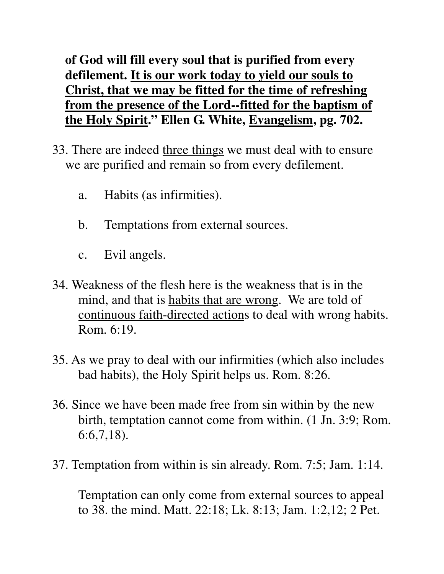**of God will fill every soul that is purified from every defilement. It is our work today to yield our souls to Christ, that we may be fitted for the time of refreshing from the presence of the Lord--fitted for the baptism of the Holy Spirit." Ellen G. White, Evangelism, pg. 702.**

- 33. There are indeed three things we must deal with to ensure we are purified and remain so from every defilement.
	- a. Habits (as infirmities).
	- b. Temptations from external sources.
	- c. Evil angels.
- 34. Weakness of the flesh here is the weakness that is in the mind, and that is habits that are wrong. We are told of continuous faith-directed actions to deal with wrong habits. Rom. 6:19.
- 35. As we pray to deal with our infirmities (which also includes bad habits), the Holy Spirit helps us. Rom. 8:26.
- 36. Since we have been made free from sin within by the new birth, temptation cannot come from within. (1 Jn. 3:9; Rom. 6:6,7,18).
- 37. Temptation from within is sin already. Rom. 7:5; Jam. 1:14.

 Temptation can only come from external sources to appeal to 38. the mind. Matt. 22:18; Lk. 8:13; Jam. 1:2,12; 2 Pet.